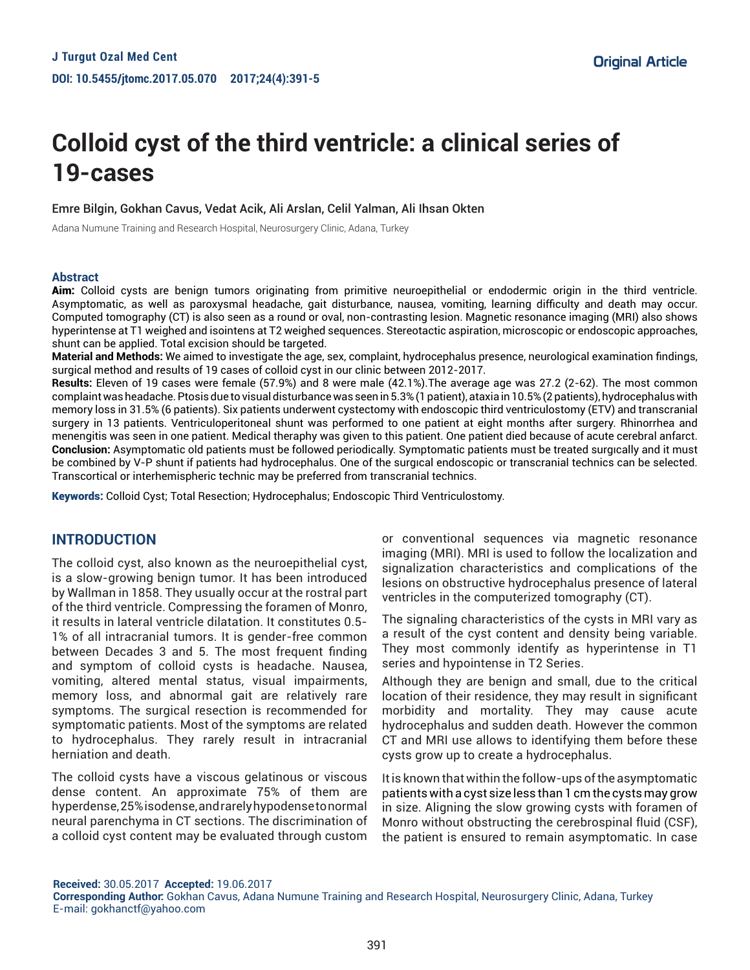# **Colloid cyst of the third ventricle: a clinical series of 19-cases**

Emre Bilgin, Gokhan Cavus, Vedat Acik, Ali Arslan, Celil Yalman, Ali Ihsan Okten

Adana Numune Training and Research Hospital, Neurosurgery Clinic, Adana, Turkey

#### **Abstract**

Aim: Colloid cysts are benign tumors originating from primitive neuroepithelial or endodermic origin in the third ventricle. Asymptomatic, as well as paroxysmal headache, gait disturbance, nausea, vomiting, learning difficulty and death may occur. Computed tomography (CT) is also seen as a round or oval, non-contrasting lesion. Magnetic resonance imaging (MRI) also shows hyperintense at T1 weighed and isointens at T2 weighed sequences. Stereotactic aspiration, microscopic or endoscopic approaches, shunt can be applied. Total excision should be targeted.

**Material and Methods:** We aimed to investigate the age, sex, complaint, hydrocephalus presence, neurological examination findings, surgical method and results of 19 cases of colloid cyst in our clinic between 2012-2017.

**Results:** Eleven of 19 cases were female (57.9%) and 8 were male (42.1%).The average age was 27.2 (2-62). The most common complaint was headache. Ptosis due to visual disturbance was seen in 5.3% (1 patient), ataxia in 10.5% (2 patients), hydrocephalus with memory loss in 31.5% (6 patients). Six patients underwent cystectomy with endoscopic third ventriculostomy (ETV) and transcranial surgery in 13 patients. Ventriculoperitoneal shunt was performed to one patient at eight months after surgery. Rhinorrhea and menengitis was seen in one patient. Medical theraphy was given to this patient. One patient died because of acute cerebral anfarct. **Conclusion:** Asymptomatic old patients must be followed periodically. Symptomatic patients must be treated surgıcally and it must be combined by V-P shunt if patients had hydrocephalus. One of the surgıcal endoscopic or transcranial technics can be selected. Transcortical or interhemispheric technic may be preferred from transcranial technics.

Keywords: Colloid Cyst; Total Resection; Hydrocephalus; Endoscopic Third Ventriculostomy.

## **INTRODUCTION**

The colloid cyst, also known as the neuroepithelial cyst, is a slow-growing benign tumor. It has been introduced by Wallman in 1858. They usually occur at the rostral part of the third ventricle. Compressing the foramen of Monro, it results in lateral ventricle dilatation. It constitutes 0.5- 1% of all intracranial tumors. It is gender-free common between Decades 3 and 5. The most frequent finding and symptom of colloid cysts is headache. Nausea, vomiting, altered mental status, visual impairments, memory loss, and abnormal gait are relatively rare symptoms. The surgical resection is recommended for symptomatic patients. Most of the symptoms are related to hydrocephalus. They rarely result in intracranial herniation and death.

The colloid cysts have a viscous gelatinous or viscous dense content. An approximate 75% of them are hyperdense, 25% isodense, and rarely hypodense to normal neural parenchyma in CT sections. The discrimination of a colloid cyst content may be evaluated through custom

or conventional sequences via magnetic resonance imaging (MRI). MRI is used to follow the localization and signalization characteristics and complications of the lesions on obstructive hydrocephalus presence of lateral ventricles in the computerized tomography (CT).

The signaling characteristics of the cysts in MRI vary as a result of the cyst content and density being variable. They most commonly identify as hyperintense in T1 series and hypointense in T2 Series.

Although they are benign and small, due to the critical location of their residence, they may result in significant morbidity and mortality. They may cause acute hydrocephalus and sudden death. However the common CT and MRI use allows to identifying them before these cysts grow up to create a hydrocephalus.

It is known that within the follow-ups of the asymptomatic patients with a cyst size less than 1 cm the cysts may grow in size. Aligning the slow growing cysts with foramen of Monro without obstructing the cerebrospinal fluid (CSF), the patient is ensured to remain asymptomatic. In case

**Received:** 30.05.2017 **Accepted:** 19.06.2017

**Corresponding Author:** Gokhan Cavus, Adana Numune Training and Research Hospital, Neurosurgery Clinic, Adana, Turkey E-mail: gokhanctf@yahoo.com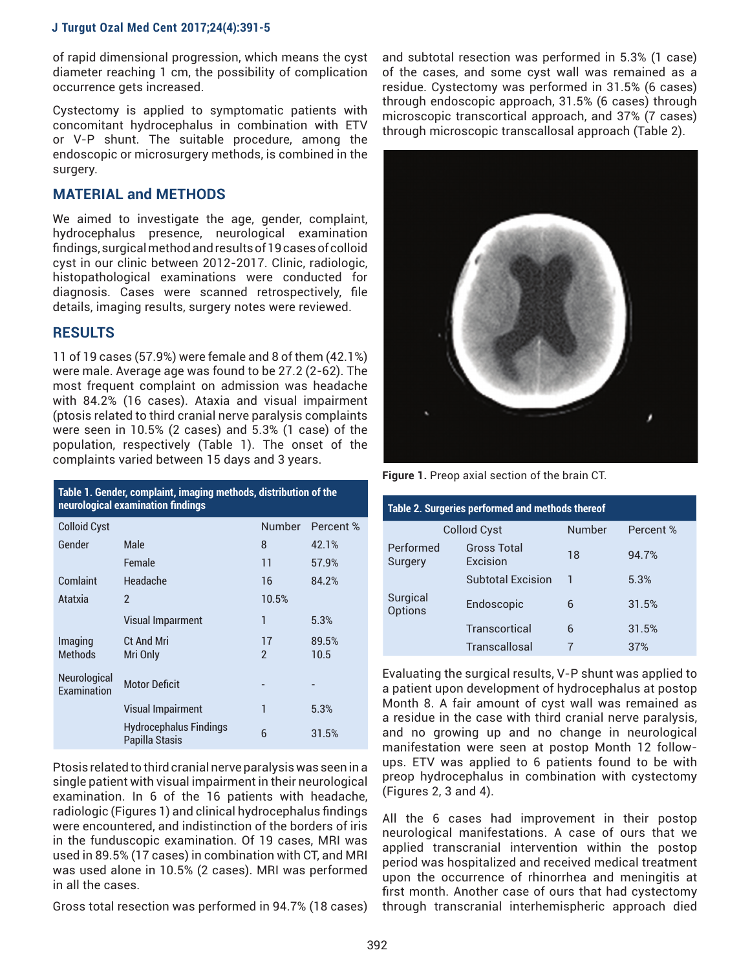of rapid dimensional progression, which means the cyst diameter reaching 1 cm, the possibility of complication occurrence gets increased.

Cystectomy is applied to symptomatic patients with concomitant hydrocephalus in combination with ETV or V-P shunt. The suitable procedure, among the endoscopic or microsurgery methods, is combined in the surgery.

## **MATERIAL and METHODS**

We aimed to investigate the age, gender, complaint, hydrocephalus presence, neurological examination findings, surgical method and results of 19 cases of colloid cyst in our clinic between 2012-2017. Clinic, radiologic, histopathological examinations were conducted for diagnosis. Cases were scanned retrospectively, file details, imaging results, surgery notes were reviewed.

## **RESULTS**

11 of 19 cases (57.9%) were female and 8 of them (42.1%) were male. Average age was found to be 27.2 (2-62). The most frequent complaint on admission was headache with 84.2% (16 cases). Ataxia and visual impairment (ptosis related to third cranial nerve paralysis complaints were seen in 10.5% (2 cases) and 5.3% (1 case) of the population, respectively (Table 1). The onset of the complaints varied between 15 days and 3 years.

| Table 1. Gender, complaint, imaging methods, distribution of the<br>neurological examination findings |                                                 |                |           |  |  |
|-------------------------------------------------------------------------------------------------------|-------------------------------------------------|----------------|-----------|--|--|
| <b>Colloid Cyst</b>                                                                                   |                                                 | <b>Number</b>  | Percent % |  |  |
| Gender                                                                                                | Male                                            | 8              | 42.1%     |  |  |
|                                                                                                       | Female                                          | 11             | 57.9%     |  |  |
| Comlaint                                                                                              | Headache                                        | 16             | 84.2%     |  |  |
| Atatxia                                                                                               | $\mathfrak{p}$                                  | 10.5%          |           |  |  |
|                                                                                                       | <b>Visual Impairment</b>                        | 1              | 5.3%      |  |  |
| Imaging                                                                                               | Ct And Mri                                      | 17             | 89.5%     |  |  |
| <b>Methods</b>                                                                                        | Mri Only                                        | $\mathfrak{p}$ | 10.5      |  |  |
| <b>Neurological</b><br>Examination                                                                    | <b>Motor Deficit</b>                            |                |           |  |  |
|                                                                                                       | <b>Visual Impairment</b>                        | 1              | 5.3%      |  |  |
|                                                                                                       | <b>Hydrocephalus Findings</b><br>Papilla Stasis | 6              | 31.5%     |  |  |

Ptosis related to third cranial nerve paralysis was seen in a single patient with visual impairment in their neurological examination. In 6 of the 16 patients with headache, radiologic (Figures 1) and clinical hydrocephalus findings were encountered, and indistinction of the borders of iris in the funduscopic examination. Of 19 cases, MRI was used in 89.5% (17 cases) in combination with CT, and MRI was used alone in 10.5% (2 cases). MRI was performed in all the cases.

Gross total resection was performed in 94.7% (18 cases)

and subtotal resection was performed in 5.3% (1 case) of the cases, and some cyst wall was remained as a residue. Cystectomy was performed in 31.5% (6 cases) through endoscopic approach, 31.5% (6 cases) through microscopic transcortical approach, and 37% (7 cases) through microscopic transcallosal approach (Table 2).



**Figure 1.** Preop axial section of the brain CT.

| <b>Table 2. Surgeries performed and methods thereof</b> |                                |               |           |  |  |
|---------------------------------------------------------|--------------------------------|---------------|-----------|--|--|
| <b>Colloid Cyst</b>                                     |                                | <b>Number</b> | Percent % |  |  |
| Performed<br>Surgery                                    | <b>Gross Total</b><br>Excision | 18            | 94.7%     |  |  |
|                                                         | Subtotal Excision              |               | 5.3%      |  |  |
| Surgical<br>Options                                     | Endoscopic                     | 6             | 31.5%     |  |  |
|                                                         | Transcortical                  | 6             | 31.5%     |  |  |
|                                                         | Transcallosal                  |               | 37%       |  |  |

Evaluating the surgical results, V-P shunt was applied to a patient upon development of hydrocephalus at postop Month 8. A fair amount of cyst wall was remained as a residue in the case with third cranial nerve paralysis, and no growing up and no change in neurological manifestation were seen at postop Month 12 followups. ETV was applied to 6 patients found to be with preop hydrocephalus in combination with cystectomy (Figures 2, 3 and 4).

All the 6 cases had improvement in their postop neurological manifestations. A case of ours that we applied transcranial intervention within the postop period was hospitalized and received medical treatment upon the occurrence of rhinorrhea and meningitis at first month. Another case of ours that had cystectomy through transcranial interhemispheric approach died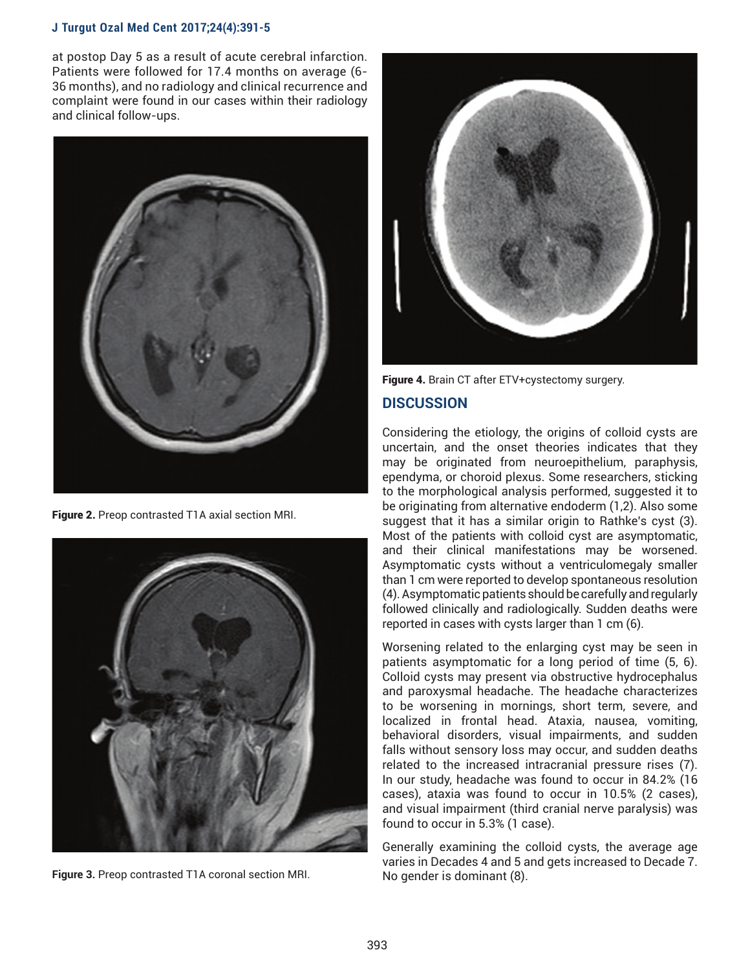at postop Day 5 as a result of acute cerebral infarction. Patients were followed for 17.4 months on average (6- 36 months), and no radiology and clinical recurrence and complaint were found in our cases within their radiology and clinical follow-ups.



Figure 2. Preop contrasted T1A axial section MRI.



**Figure 3.** Preop contrasted T1A coronal section MRI.



Figure 4. Brain CT after ETV+cystectomy surgery.

# **DISCUSSION**

Considering the etiology, the origins of colloid cysts are uncertain, and the onset theories indicates that they may be originated from neuroepithelium, paraphysis, ependyma, or choroid plexus. Some researchers, sticking to the morphological analysis performed, suggested it to be originating from alternative endoderm (1,2). Also some suggest that it has a similar origin to Rathke's cyst (3). Most of the patients with colloid cyst are asymptomatic, and their clinical manifestations may be worsened. Asymptomatic cysts without a ventriculomegaly smaller than 1 cm were reported to develop spontaneous resolution (4). Asymptomatic patients should be carefully and regularly followed clinically and radiologically. Sudden deaths were reported in cases with cysts larger than 1 cm (6).

Worsening related to the enlarging cyst may be seen in patients asymptomatic for a long period of time (5, 6). Colloid cysts may present via obstructive hydrocephalus and paroxysmal headache. The headache characterizes to be worsening in mornings, short term, severe, and localized in frontal head. Ataxia, nausea, vomiting, behavioral disorders, visual impairments, and sudden falls without sensory loss may occur, and sudden deaths related to the increased intracranial pressure rises (7). In our study, headache was found to occur in 84.2% (16 cases), ataxia was found to occur in 10.5% (2 cases), and visual impairment (third cranial nerve paralysis) was found to occur in 5.3% (1 case).

Generally examining the colloid cysts, the average age varies in Decades 4 and 5 and gets increased to Decade 7. No gender is dominant (8).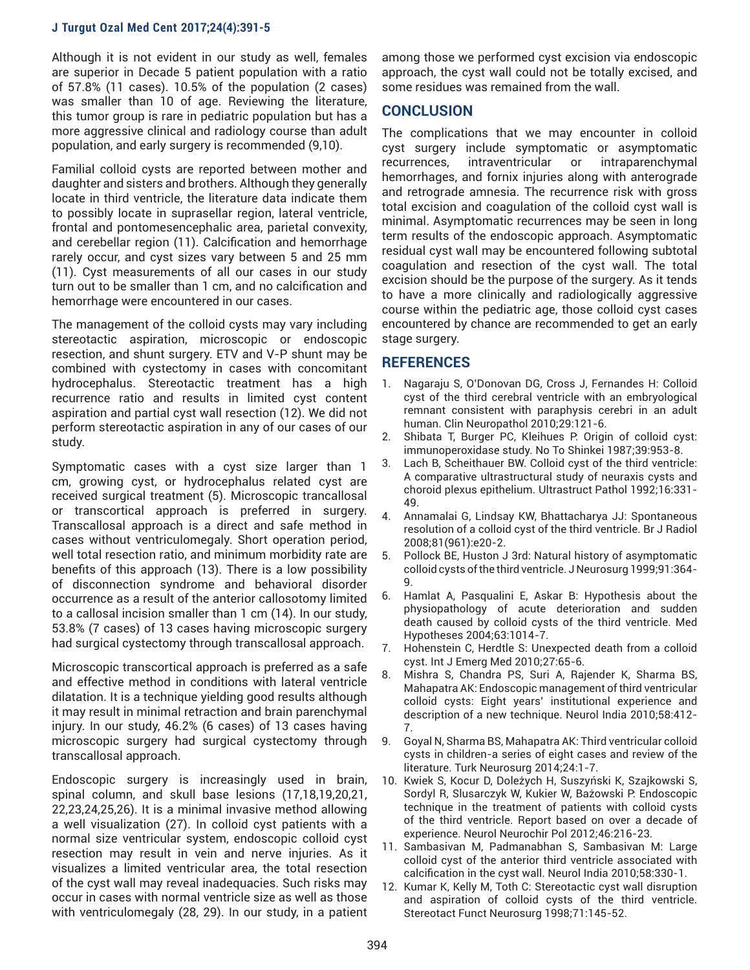Although it is not evident in our study as well, females are superior in Decade 5 patient population with a ratio of 57.8% (11 cases). 10.5% of the population (2 cases) was smaller than 10 of age. Reviewing the literature, this tumor group is rare in pediatric population but has a more aggressive clinical and radiology course than adult population, and early surgery is recommended (9,10).

Familial colloid cysts are reported between mother and daughter and sisters and brothers. Although they generally locate in third ventricle, the literature data indicate them to possibly locate in suprasellar region, lateral ventricle, frontal and pontomesencephalic area, parietal convexity, and cerebellar region (11). Calcification and hemorrhage rarely occur, and cyst sizes vary between 5 and 25 mm (11). Cyst measurements of all our cases in our study turn out to be smaller than 1 cm, and no calcification and hemorrhage were encountered in our cases.

The management of the colloid cysts may vary including stereotactic aspiration, microscopic or endoscopic resection, and shunt surgery. ETV and V-P shunt may be combined with cystectomy in cases with concomitant hydrocephalus. Stereotactic treatment has a high recurrence ratio and results in limited cyst content aspiration and partial cyst wall resection (12). We did not perform stereotactic aspiration in any of our cases of our study.

Symptomatic cases with a cyst size larger than 1 cm, growing cyst, or hydrocephalus related cyst are received surgical treatment (5). Microscopic trancallosal or transcortical approach is preferred in surgery. Transcallosal approach is a direct and safe method in cases without ventriculomegaly. Short operation period, well total resection ratio, and minimum morbidity rate are benefits of this approach (13). There is a low possibility of disconnection syndrome and behavioral disorder occurrence as a result of the anterior callosotomy limited to a callosal incision smaller than 1 cm (14). In our study, 53.8% (7 cases) of 13 cases having microscopic surgery had surgical cystectomy through transcallosal approach.

Microscopic transcortical approach is preferred as a safe and effective method in conditions with lateral ventricle dilatation. It is a technique yielding good results although it may result in minimal retraction and brain parenchymal injury. In our study, 46.2% (6 cases) of 13 cases having microscopic surgery had surgical cystectomy through transcallosal approach.

Endoscopic surgery is increasingly used in brain, spinal column, and skull base lesions (17,18,19,20,21, 22,23,24,25,26). It is a minimal invasive method allowing a well visualization (27). In colloid cyst patients with a normal size ventricular system, endoscopic colloid cyst resection may result in vein and nerve injuries. As it visualizes a limited ventricular area, the total resection of the cyst wall may reveal inadequacies. Such risks may occur in cases with normal ventricle size as well as those with ventriculomegaly (28, 29). In our study, in a patient

among those we performed cyst excision via endoscopic approach, the cyst wall could not be totally excised, and some residues was remained from the wall.

## **CONCLUSION**

The complications that we may encounter in colloid cyst surgery include symptomatic or asymptomatic recurrences, intraventricular or intraparenchymal hemorrhages, and fornix injuries along with anterograde and retrograde amnesia. The recurrence risk with gross total excision and coagulation of the colloid cyst wall is minimal. Asymptomatic recurrences may be seen in long term results of the endoscopic approach. Asymptomatic residual cyst wall may be encountered following subtotal coagulation and resection of the cyst wall. The total excision should be the purpose of the surgery. As it tends to have a more clinically and radiologically aggressive course within the pediatric age, those colloid cyst cases encountered by chance are recommended to get an early stage surgery.

## **REFERENCES**

- 1. Nagaraju S, O'Donovan DG, Cross J, Fernandes H: Colloid cyst of the third cerebral ventricle with an embryological remnant consistent with paraphysis cerebri in an adult human. Clin Neuropathol 2010;29:121-6.
- 2. Shibata T, Burger PC, Kleihues P: Origin of colloid cyst: immunoperoxidase study. No To Shinkei 1987;39:953-8.
- 3. Lach B, Scheithauer BW. Colloid cyst of the third ventricle: A comparative ultrastructural study of neuraxis cysts and choroid plexus epithelium. Ultrastruct Pathol 1992;16:331- 49.
- 4. Annamalai G, Lindsay KW, Bhattacharya JJ: Spontaneous resolution of a colloid cyst of the third ventricle. Br J Radiol 2008;81(961):e20-2.
- 5. Pollock BE, Huston J 3rd: Natural history of asymptomatic colloid cysts of the third ventricle. J Neurosurg 1999;91:364- 9.
- 6. Hamlat A, Pasqualini E, Askar B: Hypothesis about the physiopathology of acute deterioration and sudden death caused by colloid cysts of the third ventricle. Med Hypotheses 2004;63:1014-7.
- 7. Hohenstein C, Herdtle S: Unexpected death from a colloid cyst. Int J Emerg Med 2010;27:65-6.
- 8. Mishra S, Chandra PS, Suri A, Rajender K, Sharma BS, Mahapatra AK: Endoscopic management of third ventricular colloid cysts: Eight years' institutional experience and description of a new technique. Neurol India 2010;58:412- 7.
- 9. Goyal N, Sharma BS, Mahapatra AK: Third ventricular colloid cysts in children-a series of eight cases and review of the literature. Turk Neurosurg 2014;24:1-7.
- 10. Kwiek S, Kocur D, Doleżych H, Suszyński K, Szajkowski S, Sordyl R, Slusarczyk W, Kukier W, Bażowski P: Endoscopic technique in the treatment of patients with colloid cysts of the third ventricle. Report based on over a decade of experience. Neurol Neurochir Pol 2012;46:216-23.
- 11. Sambasivan M, Padmanabhan S, Sambasivan M: Large colloid cyst of the anterior third ventricle associated with calcification in the cyst wall. Neurol India 2010;58:330-1.
- 12. Kumar K, Kelly M, Toth C: Stereotactic cyst wall disruption and aspiration of colloid cysts of the third ventricle. Stereotact Funct Neurosurg 1998;71:145-52.